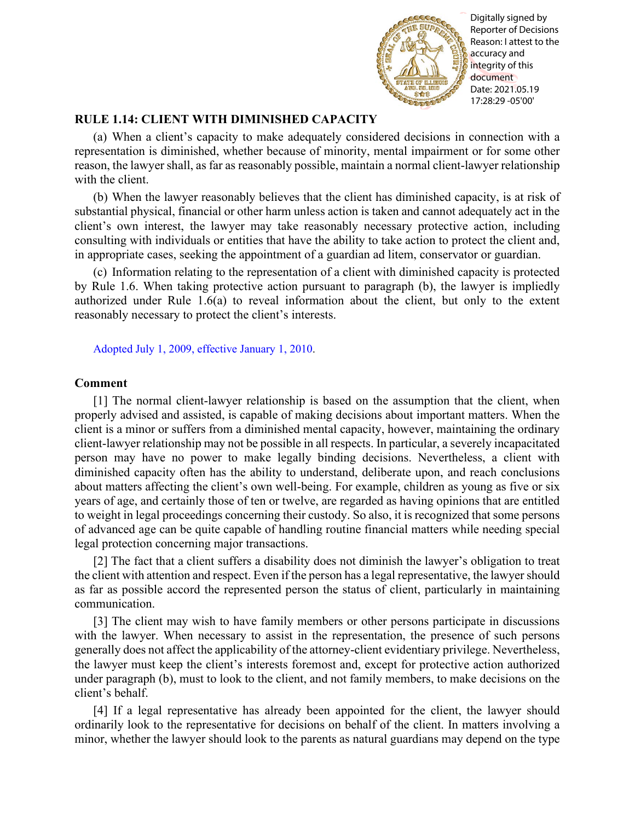

Digitally signed by Reporter of Decisions Reason: I attest to the accuracy and integrity of this document Date: 2021.05.19 17:28:29 -05'00'

# **RULE 1.14: CLIENT WITH DIMINISHED CAPACITY**

(a) When a client's capacity to make adequately considered decisions in connection with a representation is diminished, whether because of minority, mental impairment or for some other reason, the lawyer shall, as far as reasonably possible, maintain a normal client-lawyer relationship with the client.

(b) When the lawyer reasonably believes that the client has diminished capacity, is at risk of substantial physical, financial or other harm unless action is taken and cannot adequately act in the client's own interest, the lawyer may take reasonably necessary protective action, including consulting with individuals or entities that have the ability to take action to protect the client and, in appropriate cases, seeking the appointment of a guardian ad litem, conservator or guardian.

(c) Information relating to the representation of a client with diminished capacity is protected by Rule 1.6. When taking protective action pursuant to paragraph (b), the lawyer is impliedly authorized under Rule 1.6(a) to reveal information about the client, but only to the extent reasonably necessary to protect the client's interests.

[Adopted July 1, 2009, effective January 1, 2010.](http://www.illinoiscourts.gov/files/070109.pdf/amendment)

## **Comment**

[1] The normal client-lawyer relationship is based on the assumption that the client, when properly advised and assisted, is capable of making decisions about important matters. When the client is a minor or suffers from a diminished mental capacity, however, maintaining the ordinary client-lawyer relationship may not be possible in all respects. In particular, a severely incapacitated person may have no power to make legally binding decisions. Nevertheless, a client with diminished capacity often has the ability to understand, deliberate upon, and reach conclusions about matters affecting the client's own well-being. For example, children as young as five or six years of age, and certainly those of ten or twelve, are regarded as having opinions that are entitled to weight in legal proceedings concerning their custody. So also, it is recognized that some persons of advanced age can be quite capable of handling routine financial matters while needing special legal protection concerning major transactions.

[2] The fact that a client suffers a disability does not diminish the lawyer's obligation to treat the client with attention and respect. Even if the person has a legal representative, the lawyer should as far as possible accord the represented person the status of client, particularly in maintaining communication.

[3] The client may wish to have family members or other persons participate in discussions with the lawyer. When necessary to assist in the representation, the presence of such persons generally does not affect the applicability of the attorney-client evidentiary privilege. Nevertheless, the lawyer must keep the client's interests foremost and, except for protective action authorized under paragraph (b), must to look to the client, and not family members, to make decisions on the client's behalf.

[4] If a legal representative has already been appointed for the client, the lawyer should ordinarily look to the representative for decisions on behalf of the client. In matters involving a minor, whether the lawyer should look to the parents as natural guardians may depend on the type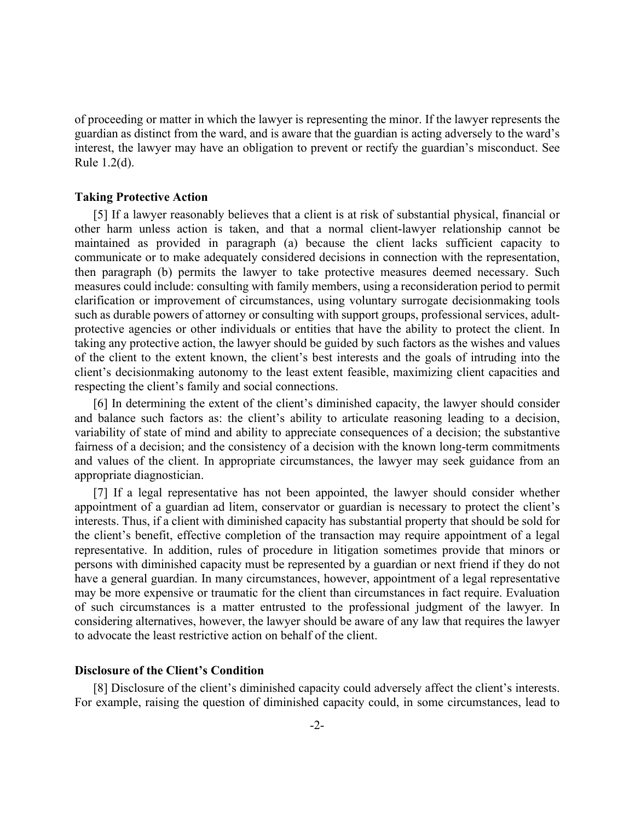of proceeding or matter in which the lawyer is representing the minor. If the lawyer represents the guardian as distinct from the ward, and is aware that the guardian is acting adversely to the ward's interest, the lawyer may have an obligation to prevent or rectify the guardian's misconduct. See Rule 1.2(d).

#### **Taking Protective Action**

[5] If a lawyer reasonably believes that a client is at risk of substantial physical, financial or other harm unless action is taken, and that a normal client-lawyer relationship cannot be maintained as provided in paragraph (a) because the client lacks sufficient capacity to communicate or to make adequately considered decisions in connection with the representation, then paragraph (b) permits the lawyer to take protective measures deemed necessary. Such measures could include: consulting with family members, using a reconsideration period to permit clarification or improvement of circumstances, using voluntary surrogate decisionmaking tools such as durable powers of attorney or consulting with support groups, professional services, adultprotective agencies or other individuals or entities that have the ability to protect the client. In taking any protective action, the lawyer should be guided by such factors as the wishes and values of the client to the extent known, the client's best interests and the goals of intruding into the client's decisionmaking autonomy to the least extent feasible, maximizing client capacities and respecting the client's family and social connections.

[6] In determining the extent of the client's diminished capacity, the lawyer should consider and balance such factors as: the client's ability to articulate reasoning leading to a decision, variability of state of mind and ability to appreciate consequences of a decision; the substantive fairness of a decision; and the consistency of a decision with the known long-term commitments and values of the client. In appropriate circumstances, the lawyer may seek guidance from an appropriate diagnostician.

[7] If a legal representative has not been appointed, the lawyer should consider whether appointment of a guardian ad litem, conservator or guardian is necessary to protect the client's interests. Thus, if a client with diminished capacity has substantial property that should be sold for the client's benefit, effective completion of the transaction may require appointment of a legal representative. In addition, rules of procedure in litigation sometimes provide that minors or persons with diminished capacity must be represented by a guardian or next friend if they do not have a general guardian. In many circumstances, however, appointment of a legal representative may be more expensive or traumatic for the client than circumstances in fact require. Evaluation of such circumstances is a matter entrusted to the professional judgment of the lawyer. In considering alternatives, however, the lawyer should be aware of any law that requires the lawyer to advocate the least restrictive action on behalf of the client.

#### **Disclosure of the Client's Condition**

[8] Disclosure of the client's diminished capacity could adversely affect the client's interests. For example, raising the question of diminished capacity could, in some circumstances, lead to